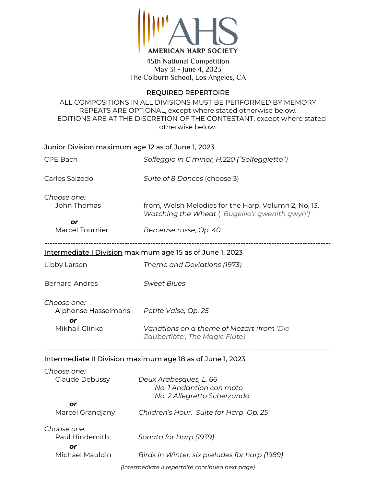

45th National Competition May 31 - June 4, 2023 The Colburn School, Los Angeles, CA

## REQUIRED REPERTOIRE

ALL COMPOSITIONS IN ALL DIVISIONS MUST BE PERFORMED BY MEMORY REPEATS ARE OPTIONAL, except where stated otherwise below. EDITIONS ARE AT THE DISCRETION OF THE CONTESTANT, except where stated otherwise below.

| <u>Junior Division</u> maximum age 12 as of June 1, 2023 |                                                                                   |  |
|----------------------------------------------------------|-----------------------------------------------------------------------------------|--|
| CPE Bach                                                 | Solfeggio in C minor, H.220 ("Solfeggietto")                                      |  |
| Carlos Salzedo                                           | Suite of 8 Dances (choose 3)                                                      |  |
| Choose one:<br>John Thomas                               | from, Welsh Melodies for the Harp, Volumn 2, No, 13,                              |  |
| or                                                       | Watching the Wheat ('Bugeilio'r gwenith gwyn')                                    |  |
| <b>Marcel Tournier</b>                                   | Berceuse russe, Op. 40                                                            |  |
|                                                          | Intermediate I Division maximum age 15 as of June 1, 2023                         |  |
| Libby Larsen                                             | Theme and Deviations (1973)                                                       |  |
| <b>Bernard Andres</b>                                    | <b>Sweet Blues</b>                                                                |  |
| Choose one:<br>Alphonse Hasselmans                       | Petite Valse, Op. 25                                                              |  |
| or                                                       |                                                                                   |  |
| Mikhail Glinka                                           | Variations on a theme of Mozart (from 'Die<br>Zauberflöte', The Magic Flute)      |  |
|                                                          | Intermediate II Division maximum age 18 as of June 1, 2023                        |  |
| Choose one:<br>Claude Debussy                            | Deux Arabesques, L. 66<br>No. 1 Andantion con moto<br>No. 2 Allegretto Scherzando |  |
| or<br>Marcel Grandjany                                   | Children's Hour, Suite for Harp Op. 25                                            |  |
| Choose one:<br>Paul Hindemith                            | Sonata for Harp (1939)                                                            |  |
| or<br>Michael Mauldin                                    | Birds in Winter: six preludes for harp (1989)                                     |  |
|                                                          | (Intermediate II repertoire continued next page)                                  |  |